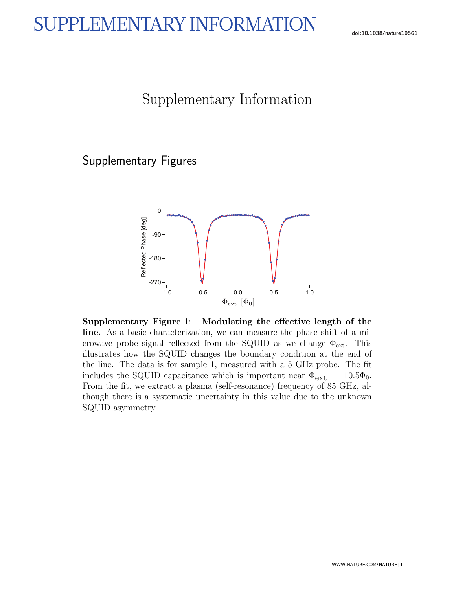## Supplementary Information

## Supplementary Figures



Supplementary Figure 1: Modulating the effective length of the line. As a basic characterization, we can measure the phase shift of a microwave probe signal reflected from the SQUID as we change  $\Phi_{\text{ext}}$ . This illustrates how the SQUID changes the boundary condition at the end of the line. The data is for sample 1, measured with a 5 GHz probe. The fit includes the SQUID capacitance which is important near  $\Phi_{\text{ext}} = \pm 0.5\Phi_0$ . From the fit, we extract a plasma (self-resonance) frequency of 85 GHz, although there is a systematic uncertainty in this value due to the unknown SQUID asymmetry.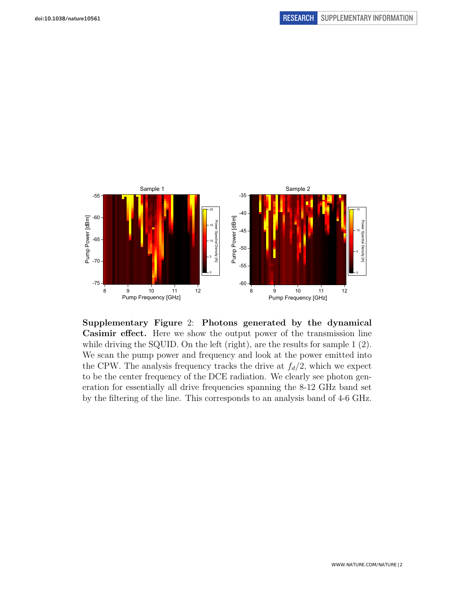

Supplementary Figure 2: Photons generated by the dynamical Casimir effect. Here we show the output power of the transmission line while driving the SQUID. On the left (right), are the results for sample 1 (2). We scan the pump power and frequency and look at the power emitted into the CPW. The analysis frequency tracks the drive at  $f_d/2$ , which we expect to be the center frequency of the DCE radiation. We clearly see photon generation for essentially all drive frequencies spanning the 8-12 GHz band set by the filtering of the line. This corresponds to an analysis band of 4-6 GHz.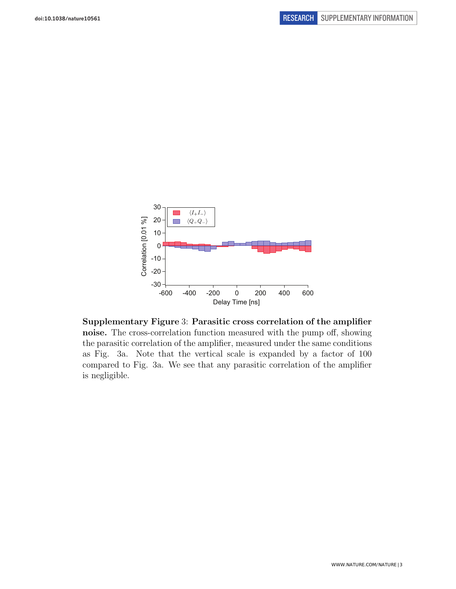

Supplementary Figure 3: Parasitic cross correlation of the amplifier noise. The cross-correlation function measured with the pump off, showing the parasitic correlation of the amplifier, measured under the same conditions as Fig. 3a. Note that the vertical scale is expanded by a factor of 100 compared to Fig. 3a. We see that any parasitic correlation of the amplifier is negligible.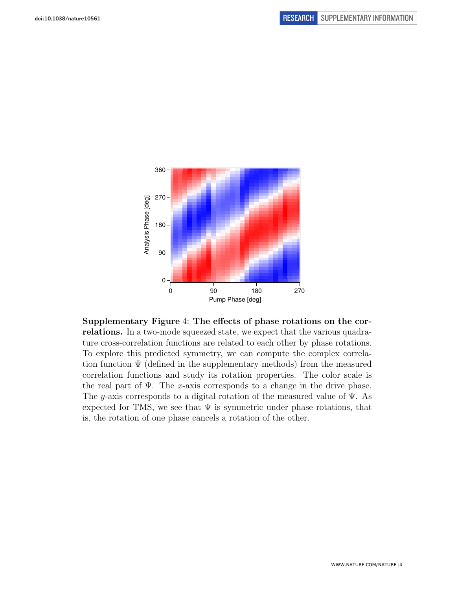

Supplementary Figure 4: The effects of phase rotations on the correlations. In a two-mode squeezed state, we expect that the various quadrature cross-correlation functions are related to each other by phase rotations. To explore this predicted symmetry, we can compute the complex correlation function  $\Psi$  (defined in the supplementary methods) from the measured correlation functions and study its rotation properties. The color scale is the real part of  $\Psi$ . The x-axis corresponds to a change in the drive phase. The y-axis corresponds to a digital rotation of the measured value of  $\Psi$ . As expected for TMS, we see that  $\Psi$  is symmetric under phase rotations, that is, the rotation of one phase cancels a rotation of the other.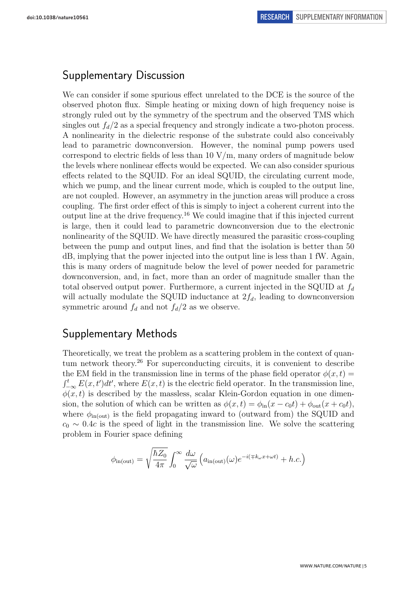## Supplementary Discussion

We can consider if some spurious effect unrelated to the DCE is the source of the observed photon flux. Simple heating or mixing down of high frequency noise is strongly ruled out by the symmetry of the spectrum and the observed TMS which singles out  $f_d/2$  as a special frequency and strongly indicate a two-photon process. A nonlinearity in the dielectric response of the substrate could also conceivably lead to parametric downconversion. However, the nominal pump powers used correspond to electric fields of less than  $10 \text{ V/m}$ , many orders of magnitude below the levels where nonlinear effects would be expected. We can also consider spurious effects related to the SQUID. For an ideal SQUID, the circulating current mode, which we pump, and the linear current mode, which is coupled to the output line, are not coupled. However, an asymmetry in the junction areas will produce a cross coupling. The first order effect of this is simply to inject a coherent current into the output line at the drive frequency.<sup>16</sup> We could imagine that if this injected current is large, then it could lead to parametric downconversion due to the electronic nonlinearity of the SQUID. We have directly measured the parasitic cross-coupling between the pump and output lines, and find that the isolation is better than 50 dB, implying that the power injected into the output line is less than 1 fW. Again, this is many orders of magnitude below the level of power needed for parametric downconversion, and, in fact, more than an order of magnitude smaller than the total observed output power. Furthermore, a current injected in the SQUID at  $f_d$ will actually modulate the SQUID inductance at  $2f_d$ , leading to downconversion symmetric around  $f_d$  and not  $f_d/2$  as we observe.

## Supplementary Methods

Theoretically, we treat the problem as a scattering problem in the context of quantum network theory.<sup>26</sup> For superconducting circuits, it is convenient to describe the EM field in the transmission line in terms of the phase field operator  $\phi(x, t)$  $\int_{-\infty}^{t} E(x, t')dt'$ , where  $E(x, t)$  is the electric field operator. In the transmission line,  $\phi(x, t)$  is described by the massless, scalar Klein-Gordon equation in one dimension, the solution of which can be written as  $\phi(x,t) = \phi_{\rm in}(x - c_0t) + \phi_{\rm out}(x + c_0t)$ , where  $\phi_{\text{in(out)}}$  is the field propagating inward to (outward from) the SQUID and  $c_0 \sim 0.4c$  is the speed of light in the transmission line. We solve the scattering problem in Fourier space defining

$$
\phi_{\text{in(out)}} = \sqrt{\frac{\hbar Z_0}{4\pi}} \int_0^\infty \frac{d\omega}{\sqrt{\omega}} \left( a_{\text{in(out)}}(\omega) e^{-i(\mp k_\omega x + \omega t)} + h.c. \right)
$$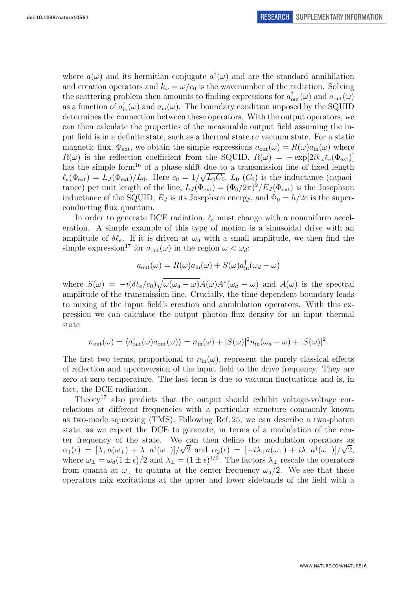where  $a(\omega)$  and its hermitian conjugate  $a^{\dagger}(\omega)$  and are the standard annihilation and creation operators and  $k_{\omega} = \omega/c_0$  is the wavenumber of the radiation. Solving the scattering problem then amounts to finding expressions for  $a_{\text{out}}^{\dagger}(\omega)$  and  $a_{\text{out}}(\omega)$ as a function of  $a_{\text{in}}^{\dagger}(\omega)$  and  $a_{\text{in}}(\omega)$ . The boundary condition imposed by the SQUID determines the connection between these operators. With the output operators, we can then calculate the properties of the measurable output field assuming the input field is in a definite state, such as a thermal state or vacuum state. For a static magnetic flux,  $\Phi_{ext}$ , we obtain the simple expressions  $a_{out}(\omega) = R(\omega)a_{in}(\omega)$  where  $R(\omega)$  is the reflection coefficient from the SQUID.  $R(\omega) = -\exp[2ik_{\omega}\ell_{e}(\Phi_{ext})]$ has the simple form<sup>16</sup> of a phase shift due to a transmission line of fixed length  $\ell_e(\Phi_{\rm ext}) = L_J(\Phi_{\rm ext})/L_0$ . Here  $c_0 = 1/\sqrt{L_0C_0}$ ,  $L_0(C_0)$  is the inductance (capacitance) per unit length of the line,  $L_J(\Phi_{ext}) = (\Phi_0/2\pi)^2 / E_J(\Phi_{ext})$  is the Josephson inductance of the SQUID,  $E_J$  is its Josephson energy, and  $\Phi_0 = h/2e$  is the superconducting flux quantum.

In order to generate DCE radiation,  $\ell_e$  must change with a nonuniform acceleration. A simple example of this type of motion is a sinusoidal drive with an amplitude of  $\delta\ell_e$ . If it is driven at  $\omega_d$  with a small amplitude, we then find the simple expression<sup>17</sup> for  $a_{\text{out}}(\omega)$  in the region  $\omega < \omega_d$ :

$$
a_{\text{out}}(\omega) = R(\omega)a_{\text{in}}(\omega) + S(\omega)a_{\text{in}}^{\dagger}(\omega_d - \omega)
$$

where  $S(\omega) = -i(\delta \ell_e/c_0) \sqrt{\omega(\omega_d - \omega)} A(\omega) A^*(\omega_d - \omega)$  and  $A(\omega)$  is the spectral amplitude of the transmission line. Crucially, the time-dependent boundary leads to mixing of the input field's creation and annihilation operators. With this expression we can calculate the output photon flux density for an input thermal state

$$
n_{\text{out}}(\omega) = \langle a_{\text{out}}^{\dagger}(\omega) a_{\text{out}}(\omega) \rangle = n_{\text{in}}(\omega) + |S(\omega)|^2 n_{\text{in}}(\omega_d - \omega) + |S(\omega)|^2.
$$

The first two terms, proportional to  $n_{\text{in}}(\omega)$ , represent the purely classical effects of reflection and upconversion of the input field to the drive frequency. They are zero at zero temperature. The last term is due to vacuum fluctuations and is, in fact, the DCE radiation.

Theory<sup>17</sup> also predicts that the output should exhibit voltage-voltage correlations at different frequencies with a particular structure commonly known as two-mode squeezing (TMS). Following Ref. 25, we can describe a two-photon state, as we expect the DCE to generate, in terms of a modulation of the center frequency of the state. We can then define the modulation operators as  $\alpha_1(\epsilon) = [\lambda_+ a(\omega_+) + \lambda_- a^{\dagger}(\omega_-)]/\sqrt{2}$  and  $\alpha_2(\epsilon) = [-i\lambda_+ a(\omega_+) + i\lambda_- a^{\dagger}(\omega_-)]/\sqrt{2}$ , where  $\omega_{\pm} = \omega_d (1 \pm \epsilon)/2$  and  $\lambda_{\pm} = (1 \pm \epsilon)^{1/2}$ . The factors  $\lambda_{\pm}$  rescale the operators from quanta at  $\omega_{\pm}$  to quanta at the center frequency  $\omega_d/2$ . We see that these operators mix excitations at the upper and lower sidebands of the field with a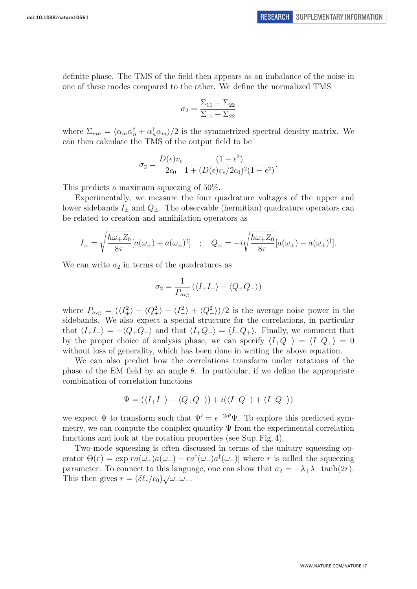definite phase. The TMS of the field then appears as an imbalance of the noise in one of these modes compared to the other. We define the normalized TMS

$$
\sigma_2 = \frac{\Sigma_{11} - \Sigma_{22}}{\Sigma_{11} + \Sigma_{22}}
$$

where  $\Sigma_{mn} = \langle \alpha_m \alpha_n^{\dagger} + \alpha_n^{\dagger} \alpha_m \rangle / 2$  is the symmetrized spectral density matrix. We can then calculate the TMS of the output field to be

$$
\sigma_2 = \frac{D(\epsilon)v_e}{2c_0} \frac{(1 - \epsilon^2)}{1 + (D(\epsilon)v_e/2c_0)^2(1 - \epsilon^2)}.
$$

This predicts a maximum squeezing of  $50\%$ .

Experimentally, we measure the four quadrature voltages of the upper and lower sidebands  $I_{\pm}$  and  $Q_{\pm}$ . The observable (hermitian) quadrature operators can be related to creation and annihilation operators as

$$
I_{\pm} = \sqrt{\frac{\hbar \omega_{\pm} Z_0}{8\pi}} [a(\omega_{\pm}) + a(\omega_{\pm})^{\dagger}] \quad ; \quad Q_{\pm} = -i \sqrt{\frac{\hbar \omega_{\pm} Z_0}{8\pi}} [a(\omega_{\pm}) - a(\omega_{\pm})^{\dagger}].
$$

We can write  $\sigma_2$  in terms of the quadratures as

$$
\sigma_2 = \frac{1}{P_{\text{avg}}} (\langle I_+ I_- \rangle - \langle Q_+ Q_- \rangle)
$$

where  $P_{\text{avg}} = (\langle I_+^2 \rangle + \langle Q_+^2 \rangle + \langle I_-^2 \rangle + \langle Q_-^2 \rangle)/2$  is the average noise power in the sidebands. We also expect a special structure for the correlations, in particular that  $\langle I_{+}I_{-}\rangle = -\langle Q_{+}Q_{-}\rangle$  and that  $\langle I_{+}Q_{-}\rangle = \langle I_{-}Q_{+}\rangle$ . Finally, we comment that by the proper choice of analysis phase, we can specify  $\langle I_+Q_-\rangle = \langle I_-Q_+\rangle = 0$ without loss of generality, which has been done in writing the above equation.

We can also predict how the correlations transform under rotations of the phase of the EM field by an angle  $\theta$ . In particular, if we define the appropriate combination of correlation functions

$$
\Psi = (\langle I_+I_- \rangle - \langle Q_+Q_- \rangle) + i(\langle I_+Q_- \rangle + \langle I_-Q_+ \rangle)
$$

we expect  $\Psi$  to transform such that  $\Psi' = e^{-2i\theta} \Psi$ . To explore this predicted symmetry, we can compute the complex quantity  $\Psi$  from the experimental correlation functions and look at the rotation properties (see Sup. Fig. 4).

Two-mode squeezing is often discussed in terms of the unitary squeezing operator  $\Theta(r) = \exp[ra(\omega_+)a(\omega_-) - ra^{\dagger}(\omega_+)a^{\dagger}(\omega_-)]$  where r is called the squeezing parameter. To connect to this language, one can show that  $\sigma_2 = -\lambda_+ \lambda_- \tanh(2r)$ . Parameter. To connect to this languated.<br>This then gives  $r = (\delta \ell_e/c_0) \sqrt{\omega_+\omega_-}.$